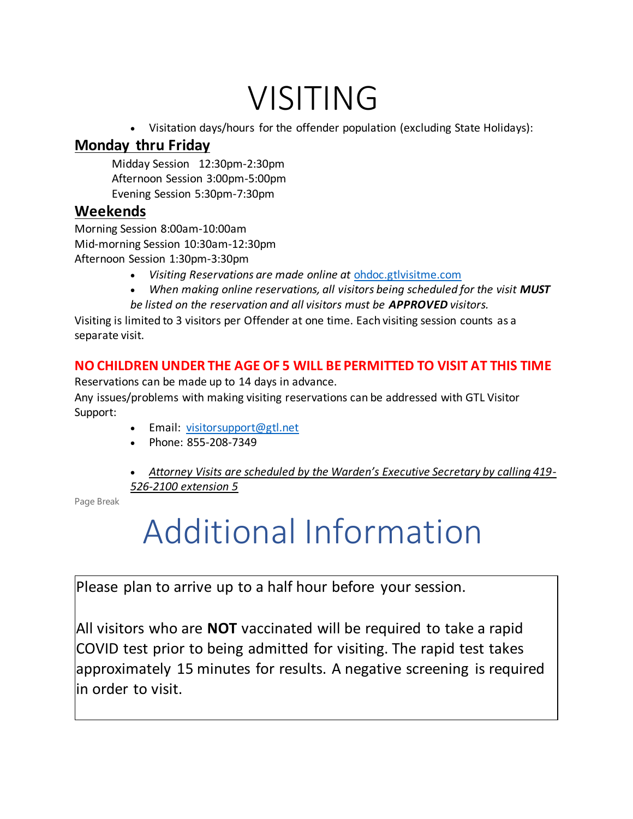## VISITING

• Visitation days/hours for the offender population (excluding State Holidays):

### **Monday thru Friday**

Midday Session 12:30pm-2:30pm Afternoon Session 3:00pm-5:00pm Evening Session 5:30pm-7:30pm

#### **Weekends**

Morning Session 8:00am-10:00am Mid-morning Session 10:30am-12:30pm Afternoon Session 1:30pm-3:30pm

- *Visiting Reservations are made online at* [ohdoc.gtlvisitme.com](https://ohdoc.gtlvisitme.com/app)
- When making online reservations, all visitors being scheduled for the visit **MUST**
- *be listed on the reservation and all visitors must be APPROVED visitors.*

Visiting is limited to 3 visitors per Offender at one time. Each visiting session counts as a separate visit.

#### **NO CHILDREN UNDER THE AGE OF 5 WILL BE PERMITTED TO VISIT AT THIS TIME**

Reservations can be made up to 14 days in advance.

Any issues/problems with making visiting reservations can be addressed with GTL Visitor Support:

- Email: [visitorsupport@gtl.net](mailto:visitorsupport@gtl.net)
- Phone: 855-208-7349
- *Attorney Visits are scheduled by the Warden's Executive Secretary by calling 419- 526-2100 extension 5*

Page Break

# Additional Information

Please plan to arrive up to a half hour before your session.

All visitors who are **NOT** vaccinated will be required to take a rapid COVID test prior to being admitted for visiting. The rapid test takes approximately 15 minutes for results. A negative screening is required in order to visit.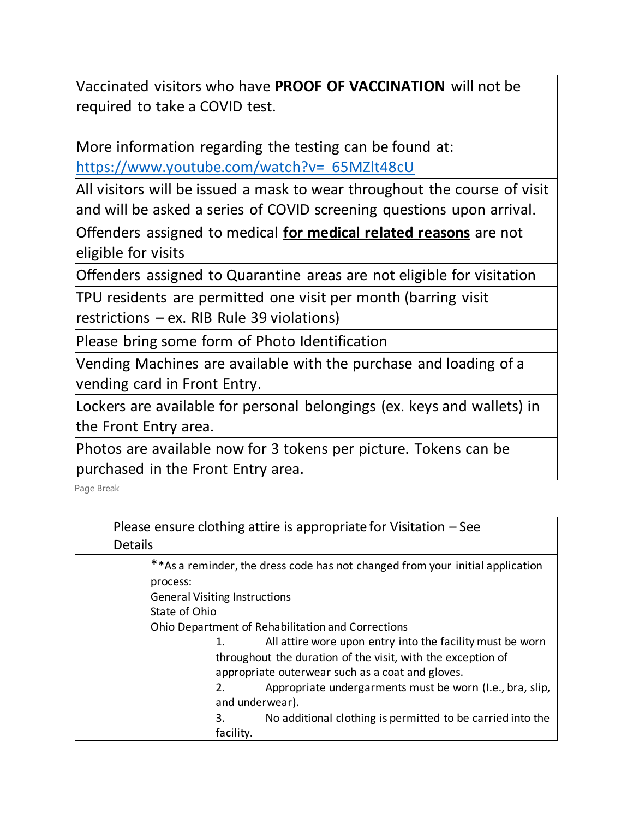Vaccinated visitors who have **PROOF OF VACCINATION** will not be required to take a COVID test.

More information regarding the testing can be found at: [https://www.youtube.com/watch?v=\\_65MZlt48cU](https://www.youtube.com/watch?v=_65MZlt48cU)

All visitors will be issued a mask to wear throughout the course of visit and will be asked a series of COVID screening questions upon arrival.

Offenders assigned to medical **for medical related reasons** are not eligible for visits

Offenders assigned to Quarantine areas are not eligible for visitation

TPU residents are permitted one visit per month (barring visit restrictions – ex. RIB Rule 39 violations)

Please bring some form of Photo Identification

Vending Machines are available with the purchase and loading of a vending card in Front Entry.

Lockers are available for personal belongings (ex. keys and wallets) in the Front Entry area.

Photos are available now for 3 tokens per picture. Tokens can be purchased in the Front Entry area.

Page Break

| Please ensure clothing attire is appropriate for Visitation $-$ See<br><b>Details</b>      |  |
|--------------------------------------------------------------------------------------------|--|
| ** As a reminder, the dress code has not changed from your initial application<br>process: |  |
| <b>General Visiting Instructions</b>                                                       |  |
| State of Ohio                                                                              |  |
| Ohio Department of Rehabilitation and Corrections                                          |  |
| All attire wore upon entry into the facility must be worn<br>1.                            |  |
| throughout the duration of the visit, with the exception of                                |  |
| appropriate outerwear such as a coat and gloves.                                           |  |
| Appropriate undergarments must be worn (I.e., bra, slip,<br>2.                             |  |
| and underwear).                                                                            |  |
| 3.<br>No additional clothing is permitted to be carried into the                           |  |
| facility.                                                                                  |  |